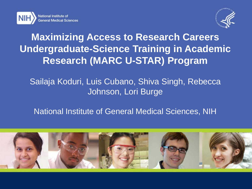



## **Maximizing Access to Research Careers Undergraduate-Science Training in Academic Research (MARC U-STAR) Program**

### Sailaja Koduri, Luis Cubano, Shiva Singh, Rebecca Johnson, Lori Burge

### National Institute of General Medical Sciences, NIH

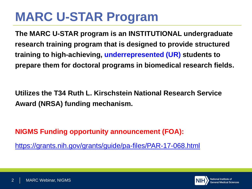## **MARC U-STAR Program**

**The MARC U-STAR program is an INSTITUTIONAL undergraduate research training program that is designed to provide structured training to high-achieving, underrepresented (UR) students to prepare them for doctoral programs in biomedical research fields.** 

**Utilizes the T34 Ruth L. Kirschstein National Research Service Award (NRSA) funding mechanism.**

**NIGMS Funding opportunity announcement (FOA):**

<https://grants.nih.gov/grants/guide/pa-files/PAR-17-068.html>

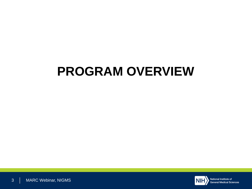## **PROGRAM OVERVIEW**

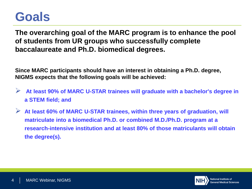## **Goals**

**The overarching goal of the MARC program is to enhance the pool of students from UR groups who successfully complete baccalaureate and Ph.D. biomedical degrees.** 

**Since MARC participants should have an interest in obtaining a Ph.D. degree, NIGMS expects that the following goals will be achieved:**

- **At least 90% of MARC U-STAR trainees will graduate with a bachelor's degree in a STEM field; and**
- **At least 60% of MARC U-STAR trainees, within three years of graduation, will matriculate into a biomedical Ph.D. or combined M.D./Ph.D. program at a research-intensive institution and at least 80% of those matriculants will obtain the degree(s).**

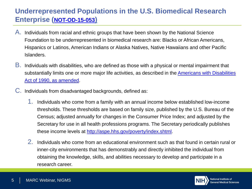#### **Underrepresented Populations in the U.S. Biomedical Research Enterprise [\(NOT-OD-15-053](https://grants.nih.gov/grants/guide/notice-files/NOT-OD-15-053.html))**

- A. Individuals from racial and ethnic groups that have been shown by the National Science Foundation to be underrepresented in biomedical research are: Blacks or African Americans, Hispanics or Latinos, American Indians or Alaska Natives, Native Hawaiians and other Pacific Islanders.
- B. Individuals with disabilities, who are defined as those with a physical or mental impairment that [substantially limits one or more major life activities, as described in the Americans with Disabilities](http://www.ada.gov/pubs/adastatute08.htm)  Act of 1990, as amended.
- C. Individuals from disadvantaged backgrounds, defined as:
	- 1. Individuals who come from a family with an annual income below established low-income thresholds. These thresholds are based on family size, published by the U.S. Bureau of the Census; adjusted annually for changes in the Consumer Price Index; and adjusted by the Secretary for use in all health professions programs. The Secretary periodically publishes these income levels at [http://aspe.hhs.gov/poverty/index.shtml.](http://aspe.hhs.gov/poverty/index.shtml)
	- 2. Individuals who come from an educational environment such as that found in certain rural or inner-city environments that has demonstrably and directly inhibited the individual from obtaining the knowledge, skills, and abilities necessary to develop and participate in a research career.

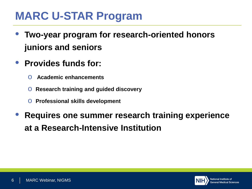## **MARC U-STAR Program**

- **Two-year program for research-oriented honors juniors and seniors**
- **Provides funds for:**
	- o **Academic enhancements**
	- o **Research training and guided discovery**
	- o **Professional skills development**
- **Requires one summer research training experience at a Research-Intensive Institution**

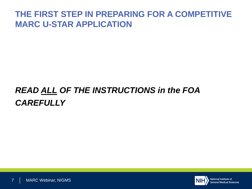### **THE FIRST STEP IN PREPARING FOR A COMPETITIVE MARC U-STAR APPLICATION**

## *READ ALL OF THE INSTRUCTIONS in the FOA CAREFULLY*

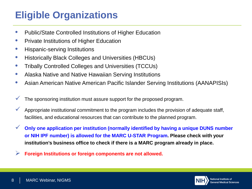## **Eligible Organizations**

- Public/State Controlled Institutions of Higher Education
- Private Institutions of Higher Education
- Hispanic-serving Institutions
- Historically Black Colleges and Universities (HBCUs)
- Tribally Controlled Colleges and Universities (TCCUs)
- Alaska Native and Native Hawaiian Serving Institutions
- Asian American Native American Pacific Islander Serving Institutions (AANAPISIs)
- The sponsoring institution must assure support for the proposed program.
- Appropriate institutional commitment to the program includes the provision of adequate staff, facilities, and educational resources that can contribute to the planned program.
- **Only one application per institution (normally identified by having a unique DUNS number or NIH IPF number) is allowed for the MARC U-STAR Program. Please check with your institution's business office to check if there is a MARC program already in place.**
- **Foreign Institutions or foreign components are not allowed.**

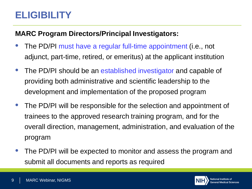## **ELIGIBILITY**

#### **MARC Program Directors/Principal Investigators:**

- The PD/PI must have a regular full-time appointment (i.e., not adjunct, part-time, retired, or emeritus) at the applicant institution
- The PD/PI should be an established investigator and capable of providing both administrative and scientific leadership to the development and implementation of the proposed program
- The PD/PI will be responsible for the selection and appointment of trainees to the approved research training program, and for the overall direction, management, administration, and evaluation of the program
- The PD/PI will be expected to monitor and assess the program and submit all documents and reports as required

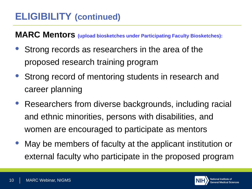## **ELIGIBILITY (continued)**

**MARC Mentors (upload biosketches under Participating Faculty Biosketches):**

- Strong records as researchers in the area of the proposed research training program
- Strong record of mentoring students in research and career planning
- Researchers from diverse backgrounds, including racial and ethnic minorities, persons with disabilities, and women are encouraged to participate as mentors
- May be members of faculty at the applicant institution or external faculty who participate in the proposed program

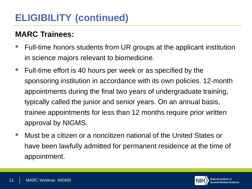## **ELIGIBILITY (continued)**

### **MARC Trainees:**

- Full-time honors students from UR groups at the applicant institution in science majors relevant to biomedicine.
- Full-time effort is 40 hours per week or as specified by the sponsoring institution in accordance with its own policies. 12-month appointments during the final two years of undergraduate training, typically called the junior and senior years. On an annual basis, trainee appointments for less than 12 months require prior written approval by NIGMS.
- Must be a citizen or a noncitizen national of the United States or have been lawfully admitted for permanent residence at the time of appointment.

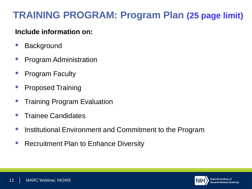## **TRAINING PROGRAM: Program Plan (25 page limit)**

#### **Include information on:**

- **Background**
- Program Administration
- Program Faculty
- Proposed Training
- Training Program Evaluation
- Trainee Candidates
- Institutional Environment and Commitment to the Program
- Recruitment Plan to Enhance Diversity

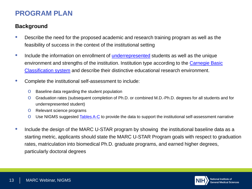#### **PROGRAM PLAN**

#### **Background**

- Describe the need for the proposed academic and research training program as well as the feasibility of success in the context of the institutional setting
- Include the information on enrollment of [underrepresented](http://grants.nih.gov/grants/guide/notice-files/NOT-OD-15-053.html) students as well as the unique environment and strengths of the institution. Institution type according to the Carnegie Basic Classification system and describe their distinctive educational research environment.
- Complete the institutional self-assessment to include:
	- o Baseline data regarding the student population
	- o Graduation rates (subsequent completion of Ph.D. or combined M.D.-Ph.D. degrees for all students and for underrepresented student)
	- o Relevant science programs
	- O Use NIGMS suggested **Tables A-C** to provide the data to support the institutional self-assessment narrative
- Include the design of the MARC U-STAR program by showing the institutional baseline data as a starting metric, applicants should state the MARC U-STAR Program goals with respect to graduation rates, matriculation into biomedical Ph.D. graduate programs, and earned higher degrees, particularly doctoral degrees

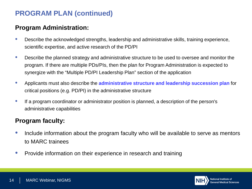#### **Program Administration:**

- Describe the acknowledged strengths, leadership and administrative skills, training experience, scientific expertise, and active research of the PD/PI
- Describe the planned strategy and administrative structure to be used to oversee and monitor the program. If there are multiple PDs/PIs, then the plan for Program Administration is expected to synergize with the "Multiple PD/PI Leadership Plan" section of the application
- Applicants must also describe the **administrative structure and leadership succession plan** for critical positions (e.g. PD/PI) in the administrative structure
- If a program coordinator or administrator position is planned, a description of the person's administrative capabilities

#### **Program faculty:**

- Include information about the program faculty who will be available to serve as mentors to MARC trainees
- Provide information on their experience in research and training

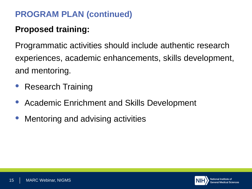### **Proposed training:**

Programmatic activities should include authentic research experiences, academic enhancements, skills development, and mentoring.

- Research Training
- Academic Enrichment and Skills Development
- Mentoring and advising activities

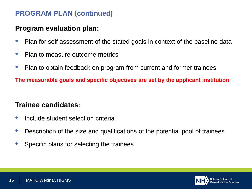#### **Program evaluation plan:**

- Plan for self assessment of the stated goals in context of the baseline data
- Plan to measure outcome metrics
- Plan to obtain feedback on program from current and former trainees

**The measurable goals and specific objectives are set by the applicant institution** 

#### **Trainee candidates:**

- Include student selection criteria
- Description of the size and qualifications of the potential pool of trainees
- Specific plans for selecting the trainees

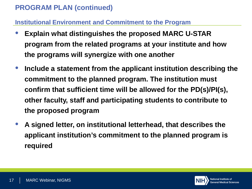#### **Institutional Environment and Commitment to the Program**

- **Explain what distinguishes the proposed MARC U-STAR program from the related programs at your institute and how the programs will synergize with one another**
- **Include a statement from the applicant institution describing the commitment to the planned program. The institution must confirm that sufficient time will be allowed for the PD(s)/PI(s), other faculty, staff and participating students to contribute to the proposed program**
- **A signed letter, on institutional letterhead, that describes the applicant institution's commitment to the planned program is required**

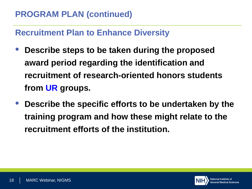### **Recruitment Plan to Enhance Diversity**

- **Describe steps to be taken during the proposed award period regarding the identification and recruitment of research-oriented honors students from UR groups.**
- **Describe the specific efforts to be undertaken by the training program and how these might relate to the recruitment efforts of the institution.**

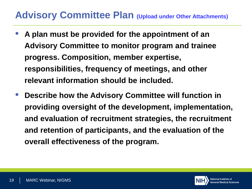### **Advisory Committee Plan (Upload under Other Attachments)**

- **A plan must be provided for the appointment of an Advisory Committee to monitor program and trainee progress. Composition, member expertise, responsibilities, frequency of meetings, and other relevant information should be included.**
- **Describe how the Advisory Committee will function in providing oversight of the development, implementation, and evaluation of recruitment strategies, the recruitment and retention of participants, and the evaluation of the overall effectiveness of the program.**

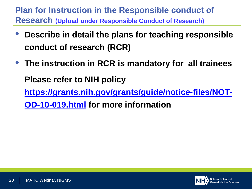**Plan for Instruction in the Responsible conduct of Research (Upload under Responsible Conduct of Research)**

- **Describe in detail the plans for teaching responsible conduct of research (RCR)**
- **The instruction in RCR is mandatory for all trainees Please refer to NIH policy [https://grants.nih.gov/grants/guide/notice-files/NOT-](https://grants.nih.gov/grants/guide/notice-files/NOT-OD-10-019.html)**

**OD-10-019.html for more information**

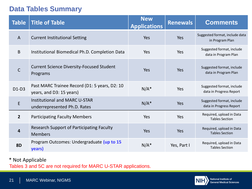#### **Data Tables Summary**

| <b>Table</b>   | <b>Title of Table</b>                                                     | <b>New</b><br><b>Applications</b> | <b>Renewals</b> | <b>Comments</b>                                      |
|----------------|---------------------------------------------------------------------------|-----------------------------------|-----------------|------------------------------------------------------|
| $\mathsf{A}$   | <b>Current Institutional Setting</b>                                      | Yes                               | Yes             | Suggested format, include data<br>in Program Plan    |
| B              | Institutional Biomedical Ph.D. Completion Data                            | Yes                               | Yes             | Suggested format, include<br>data in Program Plan    |
| $\mathsf{C}$   | <b>Current Science Diversity-Focused Student</b><br>Programs              | <b>Yes</b>                        | Yes             | Suggested format, include<br>data in Program Plan    |
| $D1-D3$        | Past MARC Trainee Record (D1: 5 years, D2: 10<br>years, and D3: 15 years) | $N/A^*$                           | Yes             | Suggested format, include<br>data in Progress Report |
| E              | <b>Institutional and MARC U-STAR</b><br>underrepresented Ph.D. Rates      | $N/A^*$                           | Yes             | Suggested format, include<br>data in Progress Report |
| $\overline{2}$ | <b>Participating Faculty Members</b>                                      | Yes                               | Yes             | Required, upload in Data<br><b>Tables Section</b>    |
| $\overline{4}$ | <b>Research Support of Participating Faculty</b><br><b>Members</b>        | Yes                               | Yes             | Required, upload in Data<br><b>Tables Section</b>    |
| <b>8D</b>      | Program Outcomes: Undergraduate (up to 15<br>years)                       | $N/A^*$                           | Yes, Part I     | Required, upload in Data<br><b>Tables Section</b>    |

#### \* Not Applicable

Tables 3 and 5C are not required for MARC U-STAR applications.

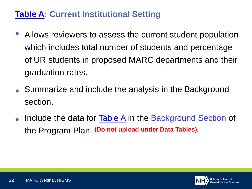### **[Table A](https://www.nigms.nih.gov/training/MARC/pages/MARCtables.aspx): Current Institutional Setting**

- Allows reviewers to assess the current student population which includes total number of students and percentage of UR students in proposed MARC departments and their graduation rates.
- Summarize and include the analysis in the Background section.
- Include the data for **Table A** in the Background Section of the Program Plan. **(Do not upload under Data Tables).**

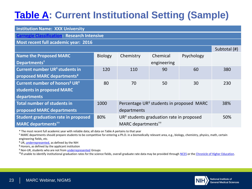## **[Table A:](https://www.nigms.nih.gov/training/MARC/pages/MARCtables.aspx) Current Institutional Setting (Sample)**

| <b>Institution Name: XXX University</b>               |                |                                                      |                                                      |            |              |  |  |  |  |  |
|-------------------------------------------------------|----------------|------------------------------------------------------|------------------------------------------------------|------------|--------------|--|--|--|--|--|
|                                                       |                |                                                      |                                                      |            |              |  |  |  |  |  |
| <b>Carnegie Classification: Research Intensive</b>    |                |                                                      |                                                      |            |              |  |  |  |  |  |
| Most recent full academic year: 2016                  |                |                                                      |                                                      |            |              |  |  |  |  |  |
|                                                       |                |                                                      |                                                      |            | Subtotal (#) |  |  |  |  |  |
| <b>Name the Proposed MARC</b>                         | <b>Biology</b> | Chemistry                                            | Chemical                                             | Psychology |              |  |  |  |  |  |
| Departments <sup>†</sup>                              |                |                                                      | engineering                                          |            |              |  |  |  |  |  |
| <b>Current number UR<sup>#</sup> students in</b>      | 120            | 110                                                  | 90                                                   | 60         | 380          |  |  |  |  |  |
| proposed MARC departments¥                            |                |                                                      |                                                      |            |              |  |  |  |  |  |
| Current number of honors <sup>§</sup> UR <sup>‡</sup> | 80             | 70                                                   | 50                                                   | 30         | 230          |  |  |  |  |  |
| students in proposed MARC                             |                |                                                      |                                                      |            |              |  |  |  |  |  |
| departments                                           |                |                                                      |                                                      |            |              |  |  |  |  |  |
| <b>Total number of students in</b>                    | 1000           | Percentage UR <sup>#</sup> students in proposed MARC | 38%                                                  |            |              |  |  |  |  |  |
| proposed MARC departments<br>departments              |                |                                                      |                                                      |            |              |  |  |  |  |  |
| <b>Student graduation rate in proposed</b>            | 80%            |                                                      | $UR^{\ddagger}$ students graduation rate in proposed |            | 50%          |  |  |  |  |  |
| <b>MARC departments<sup>††</sup></b>                  |                | MARC departments <sup>++</sup>                       |                                                      |            |              |  |  |  |  |  |

\* The most recent full academic year with reliable data; all data on Table A pertains to that year

**†** MARC departments should prepare students to be competitive for entering a Ph.D. in a biomedically relevant area, e.g., biology, chemistry, physics, math, certain engineering fields, etc.

**‡** UR, [underrepresented,](https://grants.nih.gov/grants/guide/notice-files/NOT-OD-15-053.html) as defined by the NIH

**§** Honors, as defined by the applicant institution

¥ Non-UR, students who are not from [underrepresented](https://grants.nih.gov/grants/guide/notice-files/NOT-OD-15-053.html) Groups

**††**If unable to identify institutional graduation rates for the science fields, overall graduate rate data may be provided through [NCES](http://nces.ed.gov/collegenavigator/) or the [Chronicle of Higher Education.](http://collegecompletion.chronicle.com/)

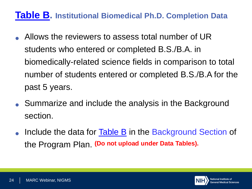### **[Table B](https://www.nigms.nih.gov/training/MARC/pages/MARCtables.aspx). Institutional Biomedical Ph.D. Completion Data**

- Allows the reviewers to assess total number of UR students who entered or completed B.S./B.A. in biomedically-related science fields in comparison to total number of students entered or completed B.S./B.A for the past 5 years.
- Summarize and include the analysis in the Background section.
- Include the data for Table B in the Background Section of the Program Plan. **(Do not upload under Data Tables).**

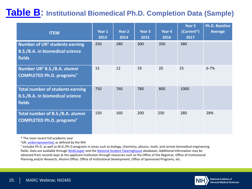### **Table B: Institutional Biomedical Ph.D. Completion Data (Sample)**

| <b>ITEM</b>                                                                                    | Year 1<br>2013 | Year 2<br>2014 | Year 3<br>2015 | Year 4<br>2016 | Year 5<br>(Current*)<br>2017 | <b>Ph.D. Baseline</b><br><b>Average</b> |
|------------------------------------------------------------------------------------------------|----------------|----------------|----------------|----------------|------------------------------|-----------------------------------------|
| Number of UR <sup>#</sup> students earning<br><b>B.S./B.A. in biomedical science</b><br>fields | 250            | 280            | 300            | 350            | 380                          |                                         |
| Number UR <sup>‡</sup> B.S./B.A. alumni<br><b>COMPLETED Ph.D. programs<sup>t</sup></b>         | 15             | 12             | 19             | 20             | 25                           | $6 - 7%$                                |
| <b>Total number of students earning</b><br><b>B.S./B.A. in biomedical science</b><br>fields    | 750            | 760            | 780            | 800            | 1000                         |                                         |
| Total number of B.S./B.A. alumni<br><b>COMPLETED Ph.D. programs<sup>t</sup></b>                | 150            | 160            | 200            | 250            | 280                          | 28%                                     |

\* The most recent full academic year

<sup>‡</sup>UR, *underrepresented*, as defined by the NIH

† includes Ph.D. as well as M.D./Ph.D programs in areas such as biology, chemistry, physics, math, and certain biomedical engineering fields. Data are available through [WebCasper](https://ncsesdata.nsf.gov/webcaspar/) and the [National Student Clearinghouse](http://www.studentclearinghouse.org/) databases. Additional information may be obtained from records kept at the applicant institution through resources such as the Office of the Registrar, Office of Institutional Planning and/or Research, Alumni Office, Office of Institutional Development, Office of Sponsored Programs, etc.

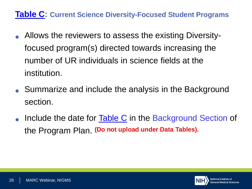#### **[Table C:](https://www.nigms.nih.gov/training/MARC/pages/MARCtables.aspx) Current Science Diversity-Focused Student Programs**

- Allows the reviewers to assess the existing Diversityfocused program(s) directed towards increasing the number of UR individuals in science fields at the institution.
- Summarize and include the analysis in the Background section.
- Include the date for [Table C](https://www.nigms.nih.gov/training/MARC/pages/MARCtables.aspx) in the Background Section of the Program Plan. **(Do not upload under Data Tables).**

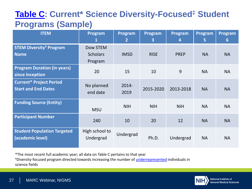### **[Table C:](https://www.nigms.nih.gov/training/MARC/pages/MARCtables.aspx) Current\* Science Diversity-Focused‡ Student Programs (Sample)**

| <b>ITEM</b>                                                  | Program<br>$\bf{1}$                    | Program<br>$\overline{2}$ | Program<br>$\overline{3}$ | Program<br>4 | Program<br>5 | Program<br>6 |
|--------------------------------------------------------------|----------------------------------------|---------------------------|---------------------------|--------------|--------------|--------------|
| <b>STEM Diversity<sup>#</sup> Program</b><br><b>Name</b>     | Dow STEM<br><b>Scholars</b><br>Program | <b>IMSD</b>               | <b>RISE</b>               | <b>PREP</b>  | <b>NA</b>    | <b>NA</b>    |
| <b>Program Duration (in years)</b><br>since inception        | 20                                     | 15                        | 10                        | 9            | <b>NA</b>    | <b>NA</b>    |
| <b>Current* Project Period</b><br><b>Start and End Dates</b> | No planned<br>end date                 | 2014-<br>2019             | 2015-2020                 | 2013-2018    | <b>NA</b>    | <b>NA</b>    |
| <b>Funding Source (Entity)</b>                               | <b>MSU</b>                             | <b>NIH</b>                | <b>NIH</b>                | <b>NIH</b>   | <b>NA</b>    | <b>NA</b>    |
| <b>Participant Number</b>                                    | 240                                    | 10                        | 20                        | 12           | <b>NA</b>    | <b>NA</b>    |
| <b>Student Population Targeted</b><br>(academic level)       | High school to<br>Undergrad            | Undergrad                 | Ph.D.                     | Undergrad    | <b>NA</b>    | <b>NA</b>    |

\*The most recent full academic year; all data on Table C pertains to that year <sup>‡</sup>Diversity-focused program directed towards increasing the number of [underrepresented](https://grants.nih.gov/grants/guide/notice-files/NOT-OD-15-053.html) individuals in science fields

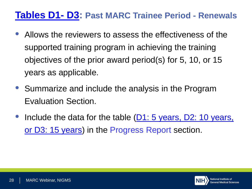### **[Tables D1-](https://www.nigms.nih.gov/training/MARC/pages/MARCtables.aspx) D3: Past MARC Trainee Period - Renewals**

- Allows the reviewers to assess the effectiveness of the supported training program in achieving the training objectives of the prior award period(s) for 5, 10, or 15 years as applicable.
- Summarize and include the analysis in the Program Evaluation Section.
- Include the data for the table  $(D1: 5 \text{ years}, D2: 10 \text{ years},$ or D3: 15 years) in the Progress Report section.

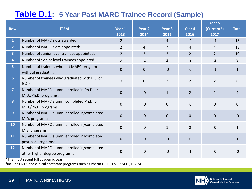#### **[Table D.1:](https://www.nigms.nih.gov/training/MARC/pages/MARCtables.aspx) 5 Year Past MARC Trainee Record (Sample)**

| <b>Row</b>              | <b>ITEM</b>                                                                               | Year 1<br>2013 | Year <sub>2</sub><br>2014 | Year <sub>3</sub><br>2015 | Year 4<br>2016 | Year 5<br>(Current*)<br>2017 | <b>Total</b> |
|-------------------------|-------------------------------------------------------------------------------------------|----------------|---------------------------|---------------------------|----------------|------------------------------|--------------|
| $\mathbf{1}$            | Number of MARC slots awarded:                                                             | $\overline{2}$ | 4                         | 4                         | $\overline{4}$ | 4                            | 18           |
| $\mathbf{2}$            | Number of MARC slots appointed:                                                           | $\overline{2}$ | 4                         | 4                         | 4              | 4                            | 18           |
| $\overline{\mathbf{3}}$ | Number of Junior level trainees appointed:                                                | $\overline{2}$ | $\overline{2}$            | $\overline{2}$            | $\overline{2}$ | $\overline{2}$               | 10           |
| 4                       | Number of Senior level trainees appointed:                                                | 0              | 2                         | $\overline{2}$            | $\overline{2}$ | 2                            | 8            |
| 5                       | Number of trainees who left MARC program<br>without graduating:                           | $\mathbf{0}$   | $\overline{0}$            | $\mathbf 0$               | $\mathbf 0$    | $\mathbf{1}$                 | 1            |
| 6 <sup>1</sup>          | Number of trainees who graduated with B.S. or<br>B.A.:                                    | 0              | $\mathbf{0}$              | $\overline{2}$            | $\overline{2}$ | $\overline{2}$               | 6            |
| $\overline{7}$          | Number of MARC alumni enrolled in Ph.D. or<br>M.D./Ph.D. programs:                        | $\mathbf{0}$   | $\mathbf 0$               | $\mathbf{1}$              | $\overline{2}$ | $\mathbf{1}$                 | 4            |
| 8                       | Number of MARC alumni completed Ph.D. or<br>M.D./Ph.D. programs:                          | $\Omega$       | $\mathbf 0$               | $\mathbf 0$               | $\mathbf 0$    | $\mathbf{0}$                 | 0            |
| 9                       | Number of MARC alumni enrolled in/completed<br>M.D. programs:                             | $\mathbf{0}$   | $\mathbf 0$               | $\mathbf 0$               | $\overline{0}$ | $\overline{0}$               | $\mathbf{0}$ |
| 10                      | Number of MARC alumni enrolled in/completed<br>M.S. programs:                             | $\Omega$       | $\overline{0}$            | $\mathbf{1}$              | $\mathbf{0}$   | $\overline{0}$               | 1            |
| 11                      | Number of MARC alumni enrolled in/completed<br>post-bac programs:                         | $\mathbf{0}$   | $\mathbf 0$               | $\mathbf 0$               | $\mathbf 0$    | $\mathbf{1}$                 | 1            |
| 12                      | Number of MARC alumni enrolled in/completed<br>other higher degree program <sup>+</sup> : | 0              | $\pmb{0}$                 | $\boldsymbol{0}$          | $\mathbf{1}$   | $\boldsymbol{0}$             | 0            |
|                         | $*$ Tho most rocant full asadomic voar $*$                                                |                |                           |                           |                |                              |              |

The most recent full academic year

**†**includes D.O. and clinical doctorate programs such as Pharm.D., D.D.S., D.M.D., D.V.M.

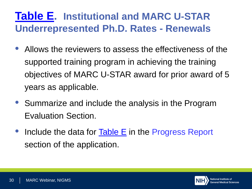## **[Table E](https://www.nigms.nih.gov/training/MARC/pages/MARCtables.aspx). Institutional and MARC U-STAR Underrepresented Ph.D. Rates - Renewals**

- Allows the reviewers to assess the effectiveness of the supported training program in achieving the training objectives of MARC U-STAR award for prior award of 5 years as applicable.
- Summarize and include the analysis in the Program Evaluation Section.
- Include the data for  $Table E$  in the Progress Report section of the application.

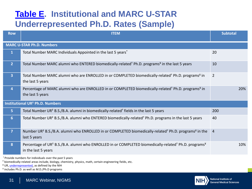### **[Table E.](https://www.nigms.nih.gov/training/MARC/pages/MARCtables.aspx) Institutional and MARC U-STAR Underrepresented Ph.D. Rates (Sample)**

| <b>Row</b>       | <b>ITEM</b>                                                                                                                                                      | <b>Subtotal</b> |
|------------------|------------------------------------------------------------------------------------------------------------------------------------------------------------------|-----------------|
|                  | <b>MARC U-STAR Ph.D. Numbers</b>                                                                                                                                 |                 |
| $\mathbf{1}$     | Total Number MARC Individuals Appointed in the last 5 years*                                                                                                     | 20              |
| $\overline{2}$   | Total Number MARC alumni who ENTERED biomedically-related <sup>†</sup> Ph.D. programs <sup>¥</sup> in the last 5 years                                           | 10              |
| 3 <sup>1</sup>   | Total Number MARC alumni who are ENROLLED in or COMPLETED biomedically-related <sup>+</sup> Ph.D. programs <sup>¥</sup> in<br>the last 5 years                   | 2               |
| 4                | Percentage of MARC alumni who are ENROLLED in or COMPLETED biomedically-related <sup>†</sup> Ph.D. programs <sup>¥</sup> in<br>the last 5 years                  | 20%             |
|                  | <b>Institutional UR<sup>‡</sup> Ph.D. Numbers</b>                                                                                                                |                 |
| 5 <sub>1</sub>   | Total Number UR <sup>‡</sup> B.S./B.A. alumni in biomedically-related <sup>†</sup> fields in the last 5 years                                                    | 200             |
| $6 \overline{6}$ | Total Number UR <sup>‡</sup> B.S./B.A. alumni who ENTERED biomedically-related <sup>†</sup> Ph.D. programs in the last 5 years                                   | 40              |
| $\overline{7}$   | Number UR <sup>+</sup> B.S./B.A. alumni who ENROLLED in or COMPLETED biomedically-related <sup>+</sup> Ph.D. programs <sup>*</sup> in the<br>last 5 years        | $\overline{4}$  |
| 8                | Percentage of UR <sup>‡</sup> B.S./B.A. alumni who ENROLLED in or COMPLETED biomedically-related <sup>†</sup> Ph.D. programs <sup>¥</sup><br>in the last 5 years | 10%             |
|                  |                                                                                                                                                                  |                 |

\* Provide numbers for individuals over the past 5 years

**†** biomedically-related areas include, biology, chemistry, physics, math, certain engineering fields, etc.

**‡** UR, [underrepresented](https://grants.nih.gov/grants/guide/notice-files/NOT-OD-15-053.html), as defined by the NIH

¥ includes Ph.D. as well as M.D./Ph.D programs

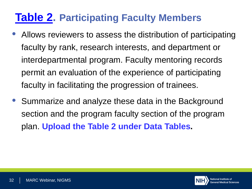## **[Table 2.](https://grants.nih.gov/grants/forms/data-tables/forms-d.htm) Participating Faculty Members**

- Allows reviewers to assess the distribution of participating faculty by rank, research interests, and department or interdepartmental program. Faculty mentoring records permit an evaluation of the experience of participating faculty in facilitating the progression of trainees.
- Summarize and analyze these data in the Background section and the program faculty section of the program plan. **Upload the Table 2 under Data Tables.**

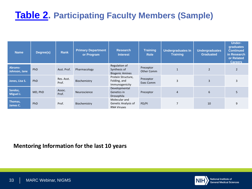## **[Table 2.](https://grants.nih.gov/grants/forms/data-tables/forms-d.htm) Participating Faculty Members (Sample)**

| <b>Name</b>              | Degree(s)  | <b>Rank</b>         | <b>Primary Department</b><br>or Program | <b>Research</b><br><b>Interest</b>                         | Training<br><b>Role</b> | <b>Undergraduates In</b><br><b>Training</b> | <b>Undergraduates</b><br><b>Graduated</b> | <b>Under-</b><br>graduates<br><b>Continued</b><br>in Research<br>or Related<br><b>Careers</b> |
|--------------------------|------------|---------------------|-----------------------------------------|------------------------------------------------------------|-------------------------|---------------------------------------------|-------------------------------------------|-----------------------------------------------------------------------------------------------|
| Abrams-<br>Johnson, Jane | <b>PhD</b> | Asst. Prof.         | Pharmacology                            | Regulation of<br>Synthesis of<br><b>Biogenic Amines</b>    | Preceptor<br>Other Comm |                                             | $\overline{2}$                            | $\overline{2}$                                                                                |
| Jones, Lisa S.           | PhD        | Res. Asst.<br>Prof. | Biochemistry                            | Protein Structure,<br>Folding, and<br>Immunogenicity       | Preceptor<br>Exec Comm  | 3                                           | 3                                         | 3                                                                                             |
| Sandoz,<br>Miguel J.     | MD, PhD    | Assoc.<br>Prof.     | Neuroscience                            | Developmental<br>Genetics in<br>Drosophila                 | Preceptor               | 4                                           | 6                                         | 5                                                                                             |
| Thomas,<br>James C.      | PhD        | Prof.               | Biochemistry                            | Molecular and<br>Genetic Analysis of<br><b>RNA Viruses</b> | PD/PI                   | $\overline{7}$                              | 10                                        | 9                                                                                             |

#### **Mentoring Information for the last 10 years**

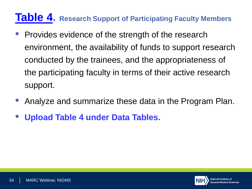## **[Table 4.](https://grants.nih.gov/grants/forms/data-tables/forms-d.htm) Research Support of Participating Faculty Members**

- Provides evidence of the strength of the research environment, the availability of funds to support research conducted by the trainees, and the appropriateness of the participating faculty in terms of their active research support.
- Analyze and summarize these data in the Program Plan.
- **Upload Table 4 under Data Tables.**

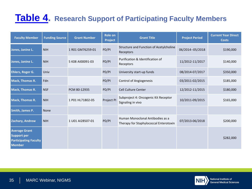### **[Table 4.](https://grants.nih.gov/grants/forms/data-tables/forms-d.htm) Research Support of Participating Faculty Members**

| <b>Faculty Member</b>                                                                       | <b>Funding Source</b> | <b>Grant Number</b> | Role on<br><b>Project</b> | <b>Grant Title</b>                                                         | <b>Project Period</b> | <b>Current Year Direct</b><br><b>Costs</b> |
|---------------------------------------------------------------------------------------------|-----------------------|---------------------|---------------------------|----------------------------------------------------------------------------|-----------------------|--------------------------------------------|
| Jones, Janine L.                                                                            | <b>NIH</b>            | 1 R01 GM76259-01    | PD/PI                     | Structure and Function of Acetylcholine<br>Receptors                       | 06/2014--05/2018      | \$190,000                                  |
| Jones, Janine L.                                                                            | <b>NIH</b>            | 5 K08 AI00091-03    | PD/PI                     | Purification & Identification of<br>Receptors                              | 11/2012-11/2017       | \$140,000                                  |
| Ehlers, Roger G.                                                                            | Univ                  |                     | PD/PI                     | University start-up funds                                                  | 08/2014-07/2017       | \$350,000                                  |
| <b>Mack, Thomas R.</b>                                                                      | Fdn                   |                     | PD/PI                     | <b>Control of Angiogenesis</b>                                             | 03/2011-02/2015       | \$185,000                                  |
| <b>Mack, Thomas R.</b>                                                                      | <b>NSF</b>            | PCM 80-12935        | PD/PI                     | <b>Cell Culture Center</b>                                                 | 12/2012-11/2015       | \$180,000                                  |
| <b>Mack, Thomas R.</b>                                                                      | <b>NIH</b>            | 1 P01 HL71802-05    | Project PI                | Subproject 4: Oncogenic Kit Receptor<br>Signaling in vivo                  | 10/2011-09/2015       | \$165,000                                  |
| Smith, James P.                                                                             | <b>None</b>           |                     |                           |                                                                            |                       |                                            |
| <b>Zachary, Andrew</b>                                                                      | <b>NIH</b>            | 1 U01 AI28507-01    | PD/PI                     | Human Monoclonal Antibodies as a<br>Therapy for Staphylococcal Enterotoxin | 07/2013-06/2018       | \$200,000                                  |
| <b>Average Grant</b><br><b>Support per</b><br><b>Participating Faculty</b><br><b>Member</b> |                       |                     |                           |                                                                            |                       | \$282,000                                  |

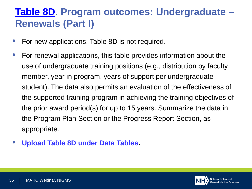## **[Table 8D.](https://grants.nih.gov/grants/forms/data-tables/forms-d.htm) Program outcomes: Undergraduate – Renewals (Part I)**

- For new applications, Table 8D is not required.
- For renewal applications, this table provides information about the use of undergraduate training positions (e.g., distribution by faculty member, year in program, years of support per undergraduate student). The data also permits an evaluation of the effectiveness of the supported training program in achieving the training objectives of the prior award period(s) for up to 15 years. Summarize the data in the Program Plan Section or the Progress Report Section, as appropriate.
- **Upload Table 8D under Data Tables.**

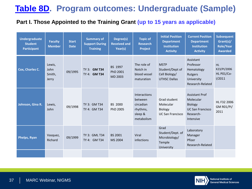### **[Table 8D](https://grants.nih.gov/grants/forms/data-tables/forms-d.htm). Program outcomes: Undergraduate (Sample)**

#### **Part I. Those Appointed to the Training Grant (up to 15 years as applicable)**

| <b>Undergraduate</b><br><b>Student</b><br><b>Participant</b> | <b>Faculty</b><br><b>Member</b>   | <b>Start</b><br><b>Date</b> | <b>Summary of</b><br><b>Support During</b><br><b>Training</b> | Degree(s)<br><b>Received and</b><br>Year(s) | <b>Topic of</b><br><b>Research</b><br><b>Project</b>                      | <b>Initial Position</b><br><b>Department</b><br><b>Institution</b><br><b>Activity</b> | <b>Current Position</b><br><b>Department</b><br><b>Institution</b><br><b>Activity</b>                     | <b>Subsequent</b><br>Grant(s)/<br><b>Role/Year</b><br><b>Awarded</b> |
|--------------------------------------------------------------|-----------------------------------|-----------------------------|---------------------------------------------------------------|---------------------------------------------|---------------------------------------------------------------------------|---------------------------------------------------------------------------------------|-----------------------------------------------------------------------------------------------------------|----------------------------------------------------------------------|
| Cox, Charles C.                                              | Lewis,<br>John<br>Smith,<br>Jerry | 09/1995                     | TY 3: <b>GM T34</b><br>TY 4: <b>GM T34</b>                    | BS 1997<br>PhD 2001<br>MD 2003              | The role of<br>Notch in<br>blood vessel<br>maturation                     | <b>MSTP</b><br>Student/Dept of<br>Cell Biology/<br><b>UTHSC Dallas</b>                | Assistant<br>Professor<br>Hematology<br>Rutgers<br>University<br>Research-Related                         | <b>HL</b><br>K23/PI/2006<br>HL P01/Co-<br>1/2011                     |
| Johnson, Gina R.                                             | Lewis,<br>John                    | 09/1998                     | TY 3: GM T34<br>TY 4: GM T34                                  | BS 2000<br>PhD 2005                         | Interactions<br>between<br>circadian<br>rhythms,<br>sleep &<br>metabolism | Grad student<br>Molecular<br><b>Biology</b><br><b>UC San Francisco</b>                | <b>Assistant Prof</b><br>Molecular<br><b>Biology</b><br><b>UC San Francisco</b><br>Research-<br>Intensive | HL F32 2006<br><b>GM R01/PI/</b><br>2011                             |
| Phelps, Ryan                                                 | Vasquez,<br>Richard               | 09/1999                     | TY 3: GML T34<br>TY 4: GM T34                                 | BS 2001<br>MS 2004                          | Viral<br>infections                                                       | Grad<br>Student/Dept. of<br>Microbiology/<br>Temple<br>University                     | Laboratory<br>Manager<br>Pfizer<br>Research-Related                                                       |                                                                      |
|                                                              |                                   |                             |                                                               |                                             |                                                                           |                                                                                       |                                                                                                           |                                                                      |

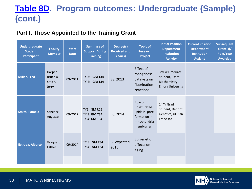### **[Table 8D](https://grants.nih.gov/grants/forms/data-tables/forms-d.htm). Program outcomes: Undergraduate (Sample) (cont.)**

#### **Part I. Those Appointed to the Training Grant**

| <b>Undergraduate</b><br><b>Student</b><br><b>Participant</b> | <b>Faculty</b><br><b>Member</b>       | <b>Start</b><br><b>Date</b> | <b>Summary of</b><br><b>Support During</b><br><b>Training</b> | Degree(s)<br><b>Received and</b><br>Year(s) | <b>Topic of</b><br><b>Research</b><br>Project                                          | <b>Initial Position</b><br><b>Department</b><br><b>Institution</b><br><b>Activity</b> | <b>Current Position</b><br><b>Department</b><br><b>Institution</b><br><b>Activity</b> | <b>Subsequent</b><br>Grant(s)/<br><b>Role/Year</b><br><b>Awarded</b> |
|--------------------------------------------------------------|---------------------------------------|-----------------------------|---------------------------------------------------------------|---------------------------------------------|----------------------------------------------------------------------------------------|---------------------------------------------------------------------------------------|---------------------------------------------------------------------------------------|----------------------------------------------------------------------|
| <b>Miller, Fred</b>                                          | Harper,<br>Bruce &<br>Smith,<br>Jerry | 09/2011                     | TY 3: <b>GM T34</b><br>TY 4: <b>GM T34</b>                    | BS, 2013                                    | Effect of<br>manganese<br>catalysts on<br>fluorination<br>reactions                    | 3rd Yr Graduate<br>Student, Dept<br>Biochemistry<br><b>Emory University</b>           |                                                                                       |                                                                      |
| <b>Smith, Pamela</b>                                         | Sanchez,<br>Augusto                   | 09/2012                     | TY2: GM R25<br><b>TY 3: GM T34</b><br>TY 4: GM T34            | BS, 2014                                    | Role of<br>unsaturated<br>lipids in pore<br>formation in<br>mitochondrial<br>membranes | 1 <sup>st</sup> Yr Grad<br>Student, Dept of<br>Genetics, UC San<br>Francisco          |                                                                                       |                                                                      |
| <b>Estrada, Alberto</b>                                      | Vasquez,<br>Esther                    | 09/2014                     | TY 3: GM T34<br>TY 4: GM T34                                  | <b>BS</b> expected<br>2016                  | Epigenetic<br>effects on<br>aging                                                      |                                                                                       |                                                                                       |                                                                      |
|                                                              |                                       |                             |                                                               |                                             |                                                                                        |                                                                                       |                                                                                       |                                                                      |

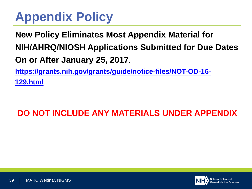## **Appendix Policy**

**New Policy Eliminates Most Appendix Material for NIH/AHRQ/NIOSH Applications Submitted for Due Dates**  . **On or After January 25, 2017 [https://grants.nih.gov/grants/guide/notice-files/NOT-OD-16-](https://grants.nih.gov/grants/guide/notice-files/NOT-OD-16-129.html) 129.html**

### **DO NOT INCLUDE ANY MATERIALS UNDER APPENDIX**

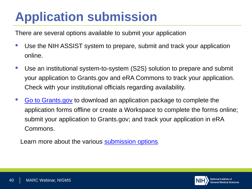## **Application submission**

There are several options available to submit your application

- Use the NIH ASSIST system to prepare, submit and track your application online.
- Use an institutional system-to-system (S2S) solution to prepare and submit your application to Grants.gov and eRA Commons to track your application. Check with your institutional officials regarding availability.
- [Go to Grants.gov](https://grants.nih.gov/grants/guide/pa-files/PAR-17-068.html) to download an application package to complete the application forms offline or create a Workspace to complete the forms online; submit your application to Grants.gov; and track your application in eRA Commons.

Learn more about the various [submission options](http://grants.nih.gov/grants/ElectronicReceipt/preparing.htm%232).

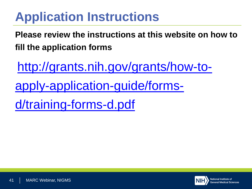## **Application Instructions**

**Please review the instructions at this website on how to fill the application forms**

[http://grants.nih.gov/grants/how-to](http://grants.nih.gov/grants/how-to-apply-application-guide/forms-d/training-forms-d.pdf)apply-application-guide/formsd/training-forms-d.pdf

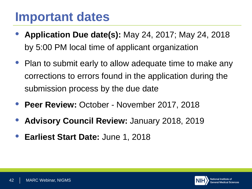## **Important dates**

- **Application Due date(s):** May 24, 2017; May 24, 2018 by 5:00 PM local time of applicant organization
- Plan to submit early to allow adequate time to make any corrections to errors found in the application during the submission process by the due date
- **Peer Review:** October November 2017, 2018
- **Advisory Council Review:** January 2018, 2019
- **Earliest Start Date:** June 1, 2018

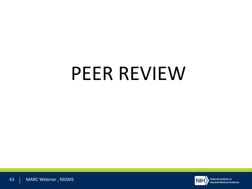# PEER REVIEW

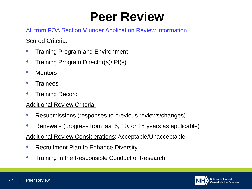## **Peer Review**

#### All from FOA Section V under Application Review Information

#### Scored Criteria:

- Training Program and Environment
- Training Program Director(s)/ PI(s)
- Mentors
- **Trainees**
- Training Record

#### Additional Review Criteria:

- Resubmissions (responses to previous reviews/changes)
- Renewals (progress from last 5, 10, or 15 years as applicable)
- Additional Review Considerations: Acceptable/Unacceptable
- Recruitment Plan to Enhance Diversity
- Training in the Responsible Conduct of Research

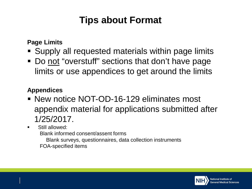## **Tips about Format**

**Page Limits**

- Supply all requested materials within page limits
- Do not "overstuff" sections that don't have page limits or use appendices to get around the limits

#### **Appendices**

- **New notice NOT-OD-16-129 eliminates most** appendix material for applications submitted after 1/25/2017.
- **Still allowed:** 
	- Blank informed consent/assent forms
	- Blank surveys, questionnaires, data collection instruments FOA-specified items

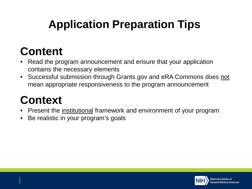## **Application Preparation Tips**

## **Content**

- Read the program announcement and ensure that your application contains the necessary elements
- Successful submission through Grants.gov and eRA Commons does not mean appropriate responsiveness to the program announcement

## **Context**

- Present the *institutional* framework and environment of your program
- Be realistic in your program's goals

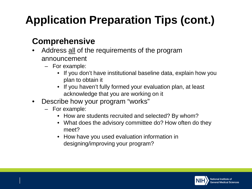## **Application Preparation Tips (cont.)**

### **Comprehensive**

- Address all of the requirements of the program announcement
	- For example:
		- If you don't have institutional baseline data, explain how you plan to obtain it
		- If you haven't fully formed your evaluation plan, at least acknowledge that you are working on it
- Describe how your program "works"
	- For example:
		- How are students recruited and selected? By whom?
		- What does the advisory committee do? How often do they meet?
		- How have you used evaluation information in designing/improving your program?

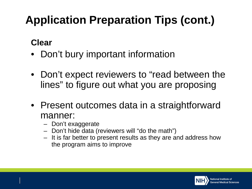## **Application Preparation Tips (cont.)**

## **Clear**

- Don't bury important information
- Don't expect reviewers to "read between the lines" to figure out what you are proposing
- Present outcomes data in a straightforward manner:
	- Don't exaggerate
	- Don't hide data (reviewers will "do the math")
	- It is far better to present results as they are and address how the program aims to improve

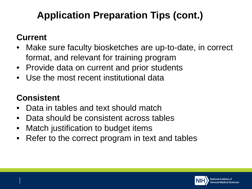## **Application Preparation Tips (cont.)**

### **Current**

- Make sure faculty biosketches are up-to-date, in correct format, and relevant for training program
- Provide data on current and prior students
- Use the most recent institutional data

## **Consistent**

- Data in tables and text should match
- Data should be consistent across tables
- Match justification to budget items
- Refer to the correct program in text and tables

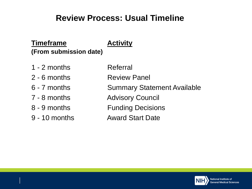#### **Review Process: Usual Timeline**

#### **Timeframe Activity (From submission date)**

#### 1 - 2 months Referral

- 
- 
- 
- 
- 
- 
- 2 6 months Review Panel
- 6 7 months Summary Statement Available
- 7 8 months **Advisory Council**
- 8 9 months **Funding Decisions**
- 9 10 months Award Start Date

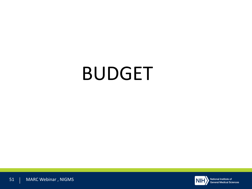# BUDGET

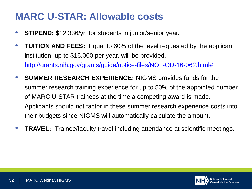## **MARC U-STAR: Allowable costs**

- **STIPEND:** \$12,336/yr. for students in junior/senior year.
- **TUITION AND FEES:** Equal to 60% of the level requested by the applicant institution, up to \$16,000 per year, will be provided.

[http://grants.nih.gov/grants/guide/notice-files/NOT-OD-16-062.html#](http://grants.nih.gov/grants/guide/notice-files/NOT-OD-16-062.html)

- **SUMMER RESEARCH EXPERIENCE:** NIGMS provides funds for the summer research training experience for up to 50% of the appointed number of MARC U-STAR trainees at the time a competing award is made. Applicants should not factor in these summer research experience costs into their budgets since NIGMS will automatically calculate the amount.
- **TRAVEL:** Trainee/faculty travel including attendance at scientific meetings.

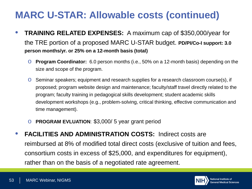## **MARC U-STAR: Allowable costs (continued)**

- **TRAINING RELATED EXPENSES:** A maximum cap of \$350,000/year for the TRE portion of a proposed MARC U-STAR budget. **PD/PI/Co-I support: 3.0 person months/yr. or 25% on a 12-month basis (total)**
	- o **Program Coordinator:** 6.0 person months (i.e., 50% on a 12-month basis) depending on the size and scope of the program.
	- o Seminar speakers; equipment and research supplies for a research classroom course(s), if proposed; program website design and maintenance; faculty/staff travel directly related to the program; faculty training in pedagogical skills development; student academic skills development workshops (e.g., problem-solving, critical thinking, effective communication and time management).
	- o **PROGRAM EVLUATION**: \$3,000/ 5 year grant period
- **FACILITIES AND ADMINISTRATION COSTS:** Indirect costs are reimbursed at 8% of modified total direct costs (exclusive of tuition and fees, consortium costs in excess of \$25,000, and expenditures for equipment), rather than on the basis of a negotiated rate agreement.

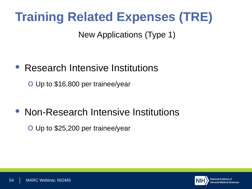## **Training Related Expenses (TRE)**

New Applications (Type 1)

## • Research Intensive Institutions

o Up to \$16,800 per trainee/year

## • Non-Research Intensive Institutions

o Up to \$25,200 per trainee/year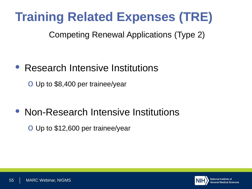## **Training Related Expenses (TRE)**

Competing Renewal Applications (Type 2)

## • Research Intensive Institutions

o Up to \$8,400 per trainee/year

## • Non-Research Intensive Institutions

o Up to \$12,600 per trainee/year

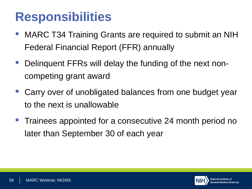## **Responsibilities**

- MARC T34 Training Grants are required to submit an NIH Federal Financial Report (FFR) annually
- Delinquent FFRs will delay the funding of the next noncompeting grant award
- Carry over of unobligated balances from one budget year to the next is unallowable
- Trainees appointed for a consecutive 24 month period no later than September 30 of each year

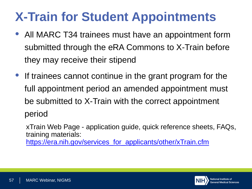## **X-Train for Student Appointments**

- All MARC T34 trainees must have an appointment form submitted through the eRA Commons to X-Train before they may receive their stipend
- If trainees cannot continue in the grant program for the full appointment period an amended appointment must be submitted to X-Train with the correct appointment period

xTrain Web Page - application guide, quick reference sheets, FAQs, training materials: [https://era.nih.gov/services\\_for\\_applicants/other/xTrain.cfm](https://era.nih.gov/services_for_applicants/other/xTrain.cfm)

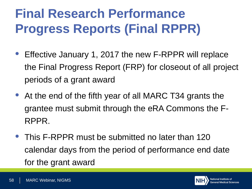## **Final Research Performance Progress Reports (Final RPPR)**

- Effective January 1, 2017 the new F-RPPR will replace the Final Progress Report (FRP) for closeout of all project periods of a grant award
- At the end of the fifth year of all MARC T34 grants the grantee must submit through the eRA Commons the F-RPPR.
- This F-RPPR must be submitted no later than 120 calendar days from the period of performance end date for the grant award

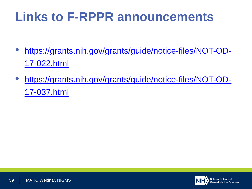## **Links to F-RPPR announcements**

- [https://grants.nih.gov/grants/guide/notice-files/NOT-OD-](https://grants.nih.gov/grants/guide/notice-files/NOT-OD-17-022.html)17-022.html
- [https://grants.nih.gov/grants/guide/notice-files/NOT-OD-](https://grants.nih.gov/grants/guide/notice-files/NOT-OD-17-037.html)17-037.html

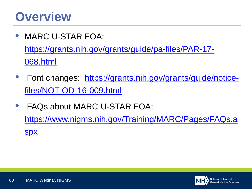## **Overview**

• MARC U-STAR FOA:

[https://grants.nih.gov/grants/guide/pa-files/PAR-17-](https://grants.nih.gov/grants/guide/pa-files/PAR-17-068.html) 068.html

- [Font changes: https://grants.nih.gov/grants/guide/notice](https://grants.nih.gov/grants/guide/notice-files/NOT-OD-16-009.html)files/NOT-OD-16-009.html
- FAQs about MARC U-STAR FOA: [https://www.nigms.nih.gov/Training/MARC/Pages/FAQs.a](https://www.nigms.nih.gov/Training/MARC/Pages/FAQs.aspx) spx

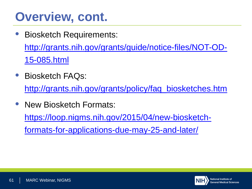## **Overview, cont.**

- Biosketch Requirements: [http://grants.nih.gov/grants/guide/notice-files/NOT-OD-](http://grants.nih.gov/grants/guide/notice-files/NOT-OD-15-085.html)15-085.html
- Biosketch FAQs:

[http://grants.nih.gov/grants/policy/faq\\_biosketches.htm](http://grants.nih.gov/grants/policy/faq_biosketches.htm)

• New Biosketch Formats:

[https://loop.nigms.nih.gov/2015/04/new-biosketch-](https://loop.nigms.nih.gov/2015/04/new-biosketch-formats-for-applications-due-may-25-and-later/)

formats-for-applications-due-may-25-and-later/